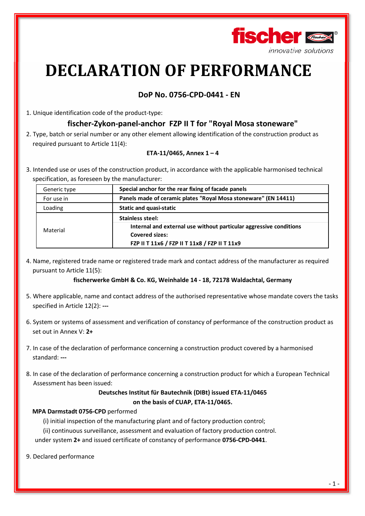

# **DECLARATION OF PERFORMANCE**

## **DoP No. 0756-CPD-0441 - EN**

1. Unique identification code of the product-type:

## **fischer-Zykon-panel-anchor FZP II T for "Royal Mosa stoneware"**

2. Type, batch or serial number or any other element allowing identification of the construction product as required pursuant to Article 11(4):

#### **ETA-11/0465, Annex 1 – 4**

3. Intended use or uses of the construction product, in accordance with the applicable harmonised technical specification, as foreseen by the manufacturer:

| Generic type | Special anchor for the rear fixing of facade panels                |  |  |
|--------------|--------------------------------------------------------------------|--|--|
| For use in   | Panels made of ceramic plates "Royal Mosa stoneware" (EN 14411)    |  |  |
| Loading      | <b>Static and quasi-static</b>                                     |  |  |
| Material     | <b>Stainless steel:</b>                                            |  |  |
|              | Internal and external use without particular aggressive conditions |  |  |
|              | <b>Covered sizes:</b>                                              |  |  |
|              | FZP II T 11x6 / FZP II T 11x8 / FZP II T 11x9                      |  |  |

4. Name, registered trade name or registered trade mark and contact address of the manufacturer as required pursuant to Article 11(5):

#### **fischerwerke GmbH & Co. KG, Weinhalde 14 - 18, 72178 Waldachtal, Germany**

- 5. Where applicable, name and contact address of the authorised representative whose mandate covers the tasks specified in Article 12(2): **---**
- 6. System or systems of assessment and verification of constancy of performance of the construction product as set out in Annex V: **2+**
- 7. In case of the declaration of performance concerning a construction product covered by a harmonised standard: **---**
- 8. In case of the declaration of performance concerning a construction product for which a European Technical Assessment has been issued:

### **Deutsches Institut für Bautechnik (DIBt) issued ETA-11/0465 on the basis of CUAP, ETA-11/0465.**

#### **MPA Darmstadt 0756-CPD** performed

(i) initial inspection of the manufacturing plant and of factory production control;

(ii) continuous surveillance, assessment and evaluation of factory production control.

under system **2+** and issued certificate of constancy of performance **0756-CPD-0441**.

9. Declared performance